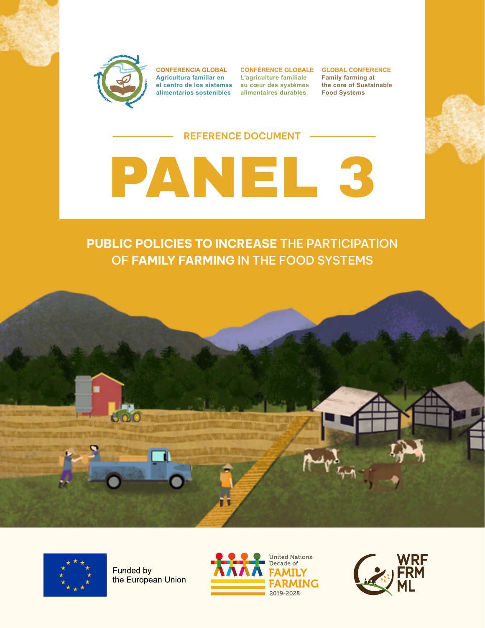

**CONFERENCIA GLOBAL Agricultura familiar en el centro de los sistemas au cœur des systèmes alimentarios sostenibles alimentaires durables**

**L'agriculture familiale**

**CONFÉRENCE GLOBALE GLOBAL CONFERENCE Family farming at the core of Sustainable Food Systems**

#### **REFERENCE DOCUMENT**



### **PUBLIC POLICIES TO INCREASE** THE PARTICIPATION OF **FAMILY FARMING** IN THE FOOD SYSTEMS





Funded by the European Union



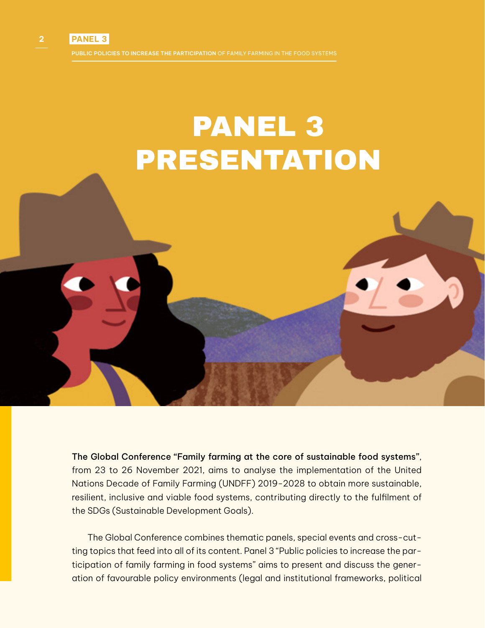## PANEL 3 PRESENTATION

The Global Conference "Family farming at the core of sustainable food systems", from 23 to 26 November 2021, aims to analyse the implementation of the United Nations Decade of Family Farming (UNDFF) 2019-2028 to obtain more sustainable, resilient, inclusive and viable food systems, contributing directly to the fulfilment of the SDGs (Sustainable Development Goals).

The Global Conference combines thematic panels, special events and cross-cutting topics that feed into all of its content. Panel 3 "Public policies to increase the participation of family farming in food systems" aims to present and discuss the generation of favourable policy environments (legal and institutional frameworks, political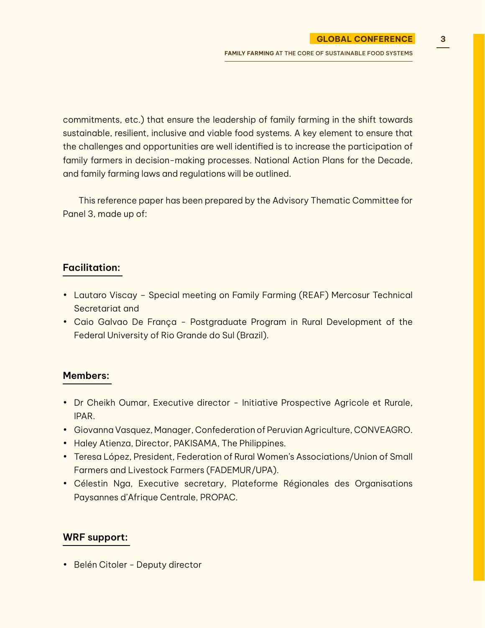commitments, etc.) that ensure the leadership of family farming in the shift towards sustainable, resilient, inclusive and viable food systems. A key element to ensure that the challenges and opportunities are well identified is to increase the participation of family farmers in decision-making processes. National Action Plans for the Decade, and family farming laws and regulations will be outlined.

This reference paper has been prepared by the Advisory Thematic Committee for Panel 3, made up of:

#### **Facilitation:**

- Lautaro Viscay Special meeting on Family Farming (REAF) Mercosur Technical Secretariat and
- Caio Galvao De França Postgraduate Program in Rural Development of the Federal University of Rio Grande do Sul (Brazil).

#### **Members:**

- Dr Cheikh Oumar, Executive director Initiative Prospective Agricole et Rurale, IPAR.
- Giovanna Vasquez, Manager, Confederation of Peruvian Agriculture, CONVEAGRO.
- Haley Atienza, Director, PAKISAMA, The Philippines.
- Teresa López, President, Federation of Rural Women's Associations/Union of Small Farmers and Livestock Farmers (FADEMUR/UPA).
- Célestin Nga, Executive secretary, Plateforme Régionales des Organisations Paysannes d'Afrique Centrale, PROPAC.

#### **WRF support:**

• Belén Citoler - Deputy director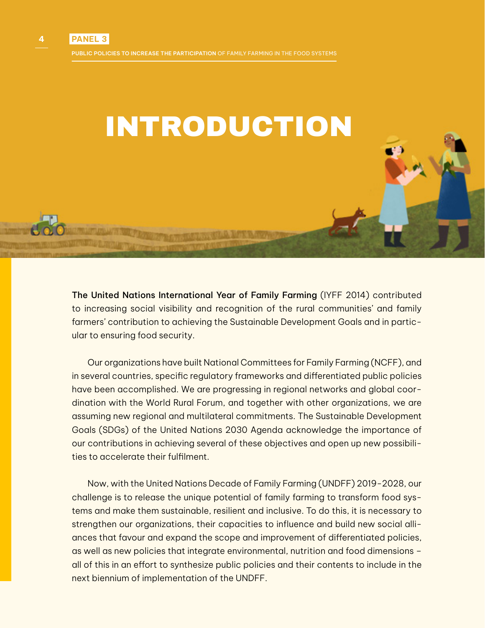

The United Nations International Year of Family Farming (IYFF 2014) contributed to increasing social visibility and recognition of the rural communities' and family farmers' contribution to achieving the Sustainable Development Goals and in particular to ensuring food security.

Our organizations have built National Committees for Family Farming (NCFF), and in several countries, specific regulatory frameworks and differentiated public policies have been accomplished. We are progressing in regional networks and global coordination with the World Rural Forum, and together with other organizations, we are assuming new regional and multilateral commitments. The Sustainable Development Goals (SDGs) of the United Nations 2030 Agenda acknowledge the importance of our contributions in achieving several of these objectives and open up new possibilities to accelerate their fulfilment.

Now, with the United Nations Decade of Family Farming (UNDFF) 2019-2028, our challenge is to release the unique potential of family farming to transform food systems and make them sustainable, resilient and inclusive. To do this, it is necessary to strengthen our organizations, their capacities to influence and build new social alliances that favour and expand the scope and improvement of differentiated policies, as well as new policies that integrate environmental, nutrition and food dimensions – all of this in an effort to synthesize public policies and their contents to include in the next biennium of implementation of the UNDFF.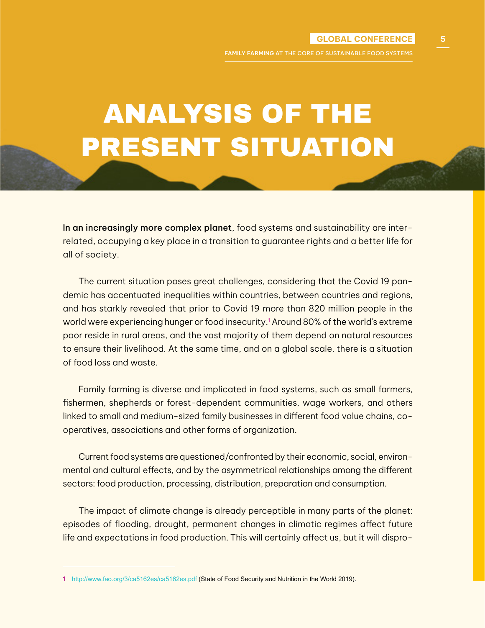**FAMILY FARMING** AT THE CORE OF SUSTAINABLE FOOD SYSTEMS

### ANALYSIS OF THE PRESENT SITUATION

In an increasingly more complex planet, food systems and sustainability are interrelated, occupying a key place in a transition to guarantee rights and a better life for all of society.

The current situation poses great challenges, considering that the Covid 19 pandemic has accentuated inequalities within countries, between countries and regions, and has starkly revealed that prior to Covid 19 more than 820 million people in the world were experiencing hunger or food insecurity.**<sup>1</sup>** Around 80% of the world's extreme poor reside in rural areas, and the vast majority of them depend on natural resources to ensure their livelihood. At the same time, and on a global scale, there is a situation of food loss and waste.

Family farming is diverse and implicated in food systems, such as small farmers, fishermen, shepherds or forest-dependent communities, wage workers, and others linked to small and medium-sized family businesses in different food value chains, cooperatives, associations and other forms of organization.

Current food systems are questioned/confronted by their economic, social, environmental and cultural effects, and by the asymmetrical relationships among the different sectors: food production, processing, distribution, preparation and consumption.

The impact of climate change is already perceptible in many parts of the planet: episodes of flooding, drought, permanent changes in climatic regimes affect future life and expectations in food production. This will certainly affect us, but it will dispro-

**<sup>1</sup>** <http://www.fao.org/3/ca5162es/ca5162es.pdf>(State of Food Security and Nutrition in the World 2019).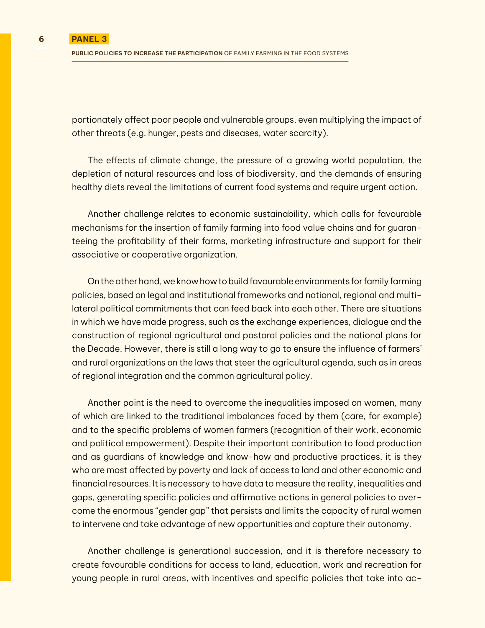portionately affect poor people and vulnerable groups, even multiplying the impact of other threats (e.g. hunger, pests and diseases, water scarcity).

The effects of climate change, the pressure of a growing world population, the depletion of natural resources and loss of biodiversity, and the demands of ensuring healthy diets reveal the limitations of current food systems and require urgent action.

Another challenge relates to economic sustainability, which calls for favourable mechanisms for the insertion of family farming into food value chains and for guaranteeing the profitability of their farms, marketing infrastructure and support for their associative or cooperative organization.

On the other hand, we know how to build favourable environments for family farming policies, based on legal and institutional frameworks and national, regional and multilateral political commitments that can feed back into each other. There are situations in which we have made progress, such as the exchange experiences, dialogue and the construction of regional agricultural and pastoral policies and the national plans for the Decade. However, there is still a long way to go to ensure the influence of farmers' and rural organizations on the laws that steer the agricultural agenda, such as in areas of regional integration and the common agricultural policy.

Another point is the need to overcome the inequalities imposed on women, many of which are linked to the traditional imbalances faced by them (care, for example) and to the specific problems of women farmers (recognition of their work, economic and political empowerment). Despite their important contribution to food production and as guardians of knowledge and know-how and productive practices, it is they who are most affected by poverty and lack of access to land and other economic and financial resources. It is necessary to have data to measure the reality, inequalities and gaps, generating specific policies and affirmative actions in general policies to overcome the enormous "gender gap" that persists and limits the capacity of rural women to intervene and take advantage of new opportunities and capture their autonomy.

Another challenge is generational succession, and it is therefore necessary to create favourable conditions for access to land, education, work and recreation for young people in rural areas, with incentives and specific policies that take into ac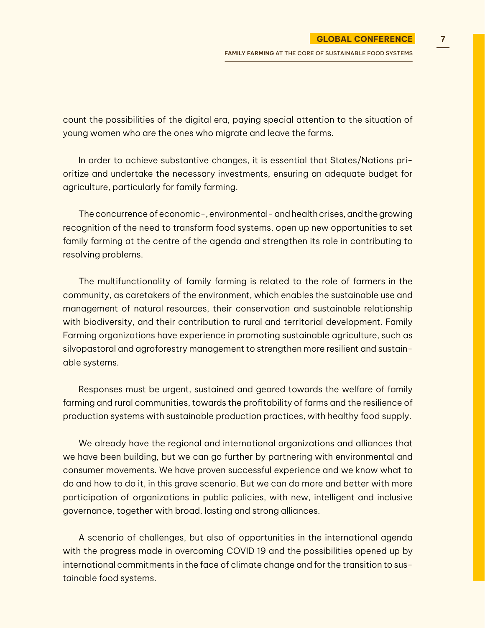count the possibilities of the digital era, paying special attention to the situation of young women who are the ones who migrate and leave the farms.

In order to achieve substantive changes, it is essential that States/Nations prioritize and undertake the necessary investments, ensuring an adequate budget for agriculture, particularly for family farming.

The concurrence of economic-, environmental- and health crises, and the growing recognition of the need to transform food systems, open up new opportunities to set family farming at the centre of the agenda and strengthen its role in contributing to resolving problems.

The multifunctionality of family farming is related to the role of farmers in the community, as caretakers of the environment, which enables the sustainable use and management of natural resources, their conservation and sustainable relationship with biodiversity, and their contribution to rural and territorial development. Family Farming organizations have experience in promoting sustainable agriculture, such as silvopastoral and agroforestry management to strengthen more resilient and sustainable systems.

Responses must be urgent, sustained and geared towards the welfare of family farming and rural communities, towards the profitability of farms and the resilience of production systems with sustainable production practices, with healthy food supply.

We already have the regional and international organizations and alliances that we have been building, but we can go further by partnering with environmental and consumer movements. We have proven successful experience and we know what to do and how to do it, in this grave scenario. But we can do more and better with more participation of organizations in public policies, with new, intelligent and inclusive governance, together with broad, lasting and strong alliances.

A scenario of challenges, but also of opportunities in the international agenda with the progress made in overcoming COVID 19 and the possibilities opened up by international commitments in the face of climate change and for the transition to sustainable food systems.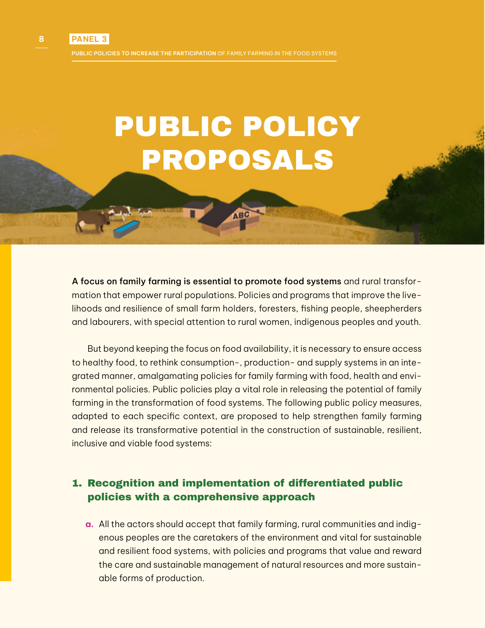**PUBLIC POLICIES TO INCREASE THE PARTICIPATION** OF FAMILY FARMING IN THE FOOD SYSTEMS

# PUBLIC POLICY PROPOSALS

A focus on family farming is essential to promote food systems and rural transformation that empower rural populations. Policies and programs that improve the livelihoods and resilience of small farm holders, foresters, fishing people, sheepherders and labourers, with special attention to rural women, indigenous peoples and youth.

But beyond keeping the focus on food availability, it is necessary to ensure access to healthy food, to rethink consumption-, production- and supply systems in an integrated manner, amalgamating policies for family farming with food, health and environmental policies. Public policies play a vital role in releasing the potential of family farming in the transformation of food systems. The following public policy measures, adapted to each specific context, are proposed to help strengthen family farming and release its transformative potential in the construction of sustainable, resilient, inclusive and viable food systems:

#### 1. Recognition and implementation of differentiated public policies with a comprehensive approach

**a.** All the actors should accept that family farming, rural communities and indigenous peoples are the caretakers of the environment and vital for sustainable and resilient food systems, with policies and programs that value and reward the care and sustainable management of natural resources and more sustainable forms of production.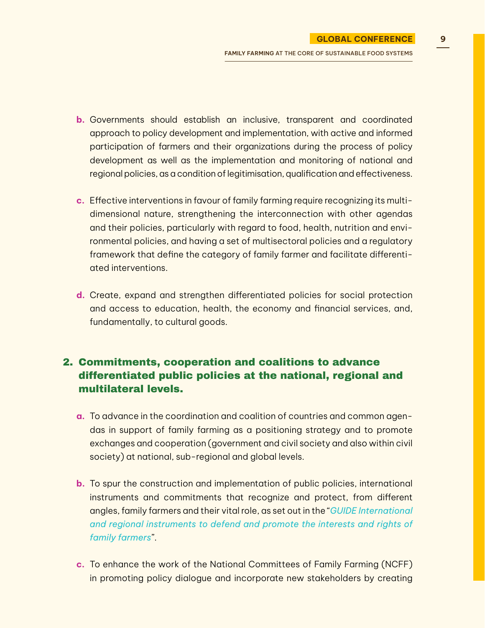**FAMILY FARMING** AT THE CORE OF SUSTAINABLE FOOD SYSTEMS

- **b.** Governments should establish an inclusive, transparent and coordinated approach to policy development and implementation, with active and informed participation of farmers and their organizations during the process of policy development as well as the implementation and monitoring of national and regional policies, as a condition of legitimisation, qualification and effectiveness.
- **c.** Effective interventions in favour of family farming require recognizing its multidimensional nature, strengthening the interconnection with other agendas and their policies, particularly with regard to food, health, nutrition and environmental policies, and having a set of multisectoral policies and a regulatory framework that define the category of family farmer and facilitate differentiated interventions.
- **d.** Create, expand and strengthen differentiated policies for social protection and access to education, health, the economy and financial services, and, fundamentally, to cultural goods.

#### 2. Commitments, cooperation and coalitions to advance differentiated public policies at the national, regional and multilateral levels.

- **a.** To advance in the coordination and coalition of countries and common agendas in support of family farming as a positioning strategy and to promote exchanges and cooperation (government and civil society and also within civil society) at national, sub-regional and global levels.
- **b.** To spur the construction and implementation of public policies, international instruments and commitments that recognize and protect, from different angles, family farmers and their vital role, as set out in the "*[GUIDE International](https://www.ruralforum.org/img/recursos/202106_inst.defenseff_eng.pdf) [and regional instruments to defend and promote the interests and rights of](https://www.ruralforum.org/img/recursos/202106_inst.defenseff_eng.pdf) [family farmers](https://www.ruralforum.org/img/recursos/202106_inst.defenseff_eng.pdf)*".
- **c.** To enhance the work of the National Committees of Family Farming (NCFF) in promoting policy dialogue and incorporate new stakeholders by creating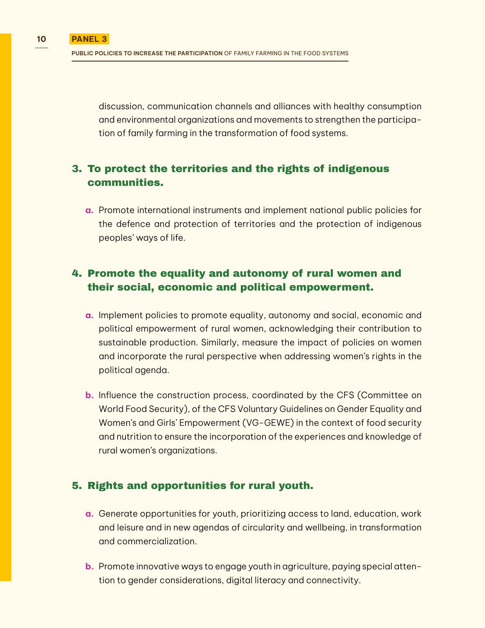discussion, communication channels and alliances with healthy consumption and environmental organizations and movements to strengthen the participation of family farming in the transformation of food systems.

#### 3. To protect the territories and the rights of indigenous communities.

**a.** Promote international instruments and implement national public policies for the defence and protection of territories and the protection of indigenous peoples' ways of life.

#### 4. Promote the equality and autonomy of rural women and their social, economic and political empowerment.

- **a.** Implement policies to promote equality, autonomy and social, economic and political empowerment of rural women, acknowledging their contribution to sustainable production. Similarly, measure the impact of policies on women and incorporate the rural perspective when addressing women's rights in the political agenda.
- **b.** Influence the construction process, coordinated by the CFS (Committee on World Food Security), of the CFS Voluntary Guidelines on Gender Equality and Women's and Girls' Empowerment (VG-GEWE) in the context of food security and nutrition to ensure the incorporation of the experiences and knowledge of rural women's organizations.

#### 5. Rights and opportunities for rural youth.

- **a.** Generate opportunities for youth, prioritizing access to land, education, work and leisure and in new agendas of circularity and wellbeing, in transformation and commercialization.
- **b.** Promote innovative ways to engage youth in agriculture, paying special attention to gender considerations, digital literacy and connectivity.